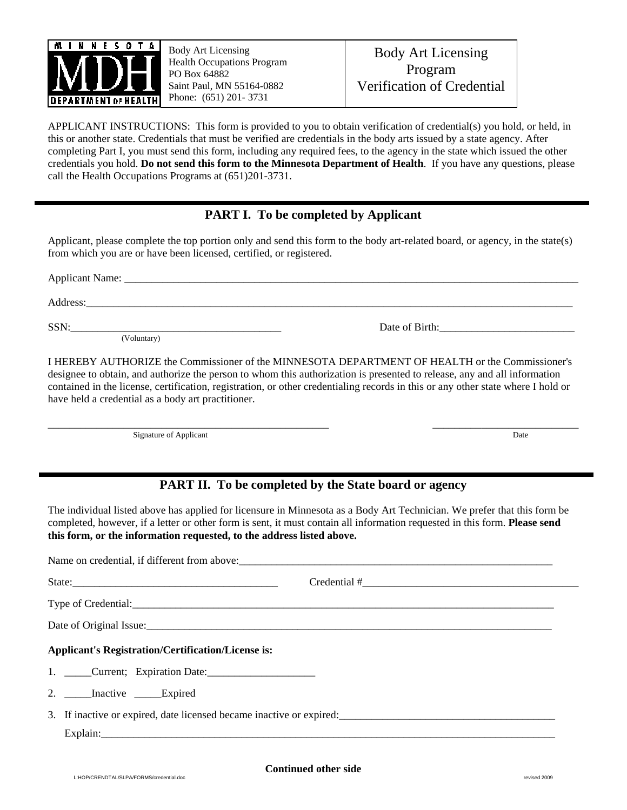

ı

Body Art Licensing Health Occupations Program PO Box 64882 Saint Paul, MN 55164-0882 Phone: (651) 201- 3731

APPLICANT INSTRUCTIONS: This form is provided to you to obtain verification of credential(s) you hold, or held, in this or another state. Credentials that must be verified are credentials in the body arts issued by a state agency. After completing Part I, you must send this form, including any required fees, to the agency in the state which issued the other credentials you hold. **Do not send this form to the Minnesota Department of Health**. If you have any questions, please call the Health Occupations Programs at (651)201-3731.

## **PART I. To be completed by Applicant**

Applicant, please complete the top portion only and send this form to the body art-related board, or agency, in the state(s) from which you are or have been licensed, certified, or registered.

Applicant Name: Address:\_\_\_\_\_\_\_\_\_\_\_\_\_\_\_\_\_\_\_\_\_\_\_\_\_\_\_\_\_\_\_\_\_\_\_\_\_\_\_\_\_\_\_\_\_\_\_\_\_\_\_\_\_\_\_\_\_\_\_\_\_\_\_\_\_\_\_\_\_\_\_\_\_\_\_\_\_\_\_\_\_\_\_\_\_\_\_\_\_\_ SSN: (Voluntary)

I HEREBY AUTHORIZE the Commissioner of the MINNESOTA DEPARTMENT OF HEALTH or the Commissioner's designee to obtain, and authorize the person to whom this authorization is presented to release, any and all information contained in the license, certification, registration, or other credentialing records in this or any other state where I hold or have held a credential as a body art practitioner.

\_\_\_\_\_\_\_\_\_\_\_\_\_\_\_\_\_\_\_\_\_\_\_\_\_\_\_\_\_\_\_\_\_\_\_\_\_\_\_\_\_\_\_\_\_\_\_\_\_\_\_\_ \_\_\_\_\_\_\_\_\_\_\_\_\_\_\_\_\_\_\_\_\_\_\_\_\_\_\_ Signature of Applicant Date

## **PART II. To be completed by the State board or agency**

The individual listed above has applied for licensure in Minnesota as a Body Art Technician. We prefer that this form be completed, however, if a letter or other form is sent, it must contain all information requested in this form. **Please send this form, or the information requested, to the address listed above.**

| Name on credential, if different from above:                                                                                                                                                                                   |                         |  |
|--------------------------------------------------------------------------------------------------------------------------------------------------------------------------------------------------------------------------------|-------------------------|--|
|                                                                                                                                                                                                                                | $\text{Credential}\ \#$ |  |
| Type of Credential:                                                                                                                                                                                                            |                         |  |
| Date of Original Issue: 1980 and 200 and 200 and 200 and 200 and 200 and 200 and 200 and 200 and 200 and 200 and 200 and 200 and 200 and 200 and 200 and 200 and 200 and 200 and 200 and 200 and 200 and 200 and 200 and 200 a |                         |  |
| <b>Applicant's Registration/Certification/License is:</b>                                                                                                                                                                      |                         |  |
|                                                                                                                                                                                                                                |                         |  |
| 2. ______Inactive ______Expired                                                                                                                                                                                                |                         |  |
|                                                                                                                                                                                                                                |                         |  |
|                                                                                                                                                                                                                                |                         |  |